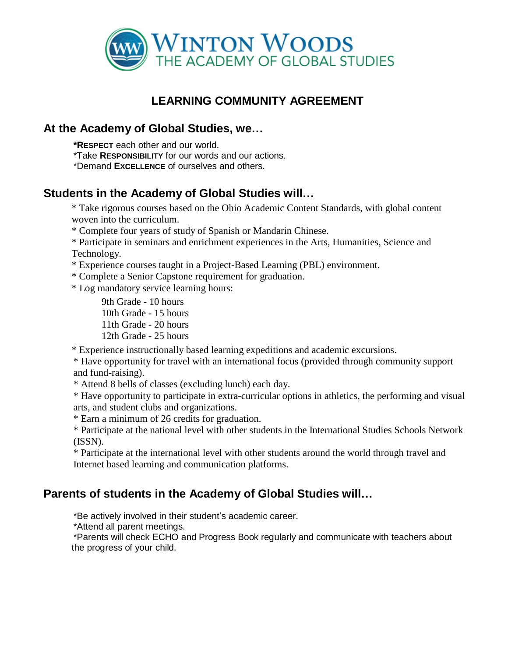

# **LEARNING COMMUNITY AGREEMENT**

### **At the Academy of Global Studies, we…**

**\*RESPECT** each other and our world.

\*Take **RESPONSIBILITY** for our words and our actions.

\*Demand **EXCELLENCE** of ourselves and others.

#### **Students in the Academy of Global Studies will…**

\* Take rigorous courses based on the Ohio Academic [Content Standards, with](http://www.surveymonkey.com/MySurvey_EditPage.aspx?sm=KU0lBaIzzIzJrg5rQPhc60mqoP7klziRsDhouWGfWUB63UOo6W1Rr1h0tnLSTBxx&TB_iframe=true&height=450&width=650) global conten[t](http://www.surveymonkey.com/MySurvey_EditPage.aspx?sm=KU0lBaIzzIzJrg5rQPhc60mqoP7klziRsDhouWGfWUB63UOo6W1Rr1h0tnLSTBxx&TB_iframe=true&height=450&width=650) [woven into the](http://www.surveymonkey.com/MySurvey_EditPage.aspx?sm=KU0lBaIzzIzJrg5rQPhc60mqoP7klziRsDhouWGfWUB63UOo6W1Rr1h0tnLSTBxx&TB_iframe=true&height=450&width=650) curriculum.

\* Complete four years of study of Spanish or [Mandarin Chinese.](http://www.surveymonkey.com/MySurvey_EditPage.aspx?sm=KU0lBaIzzIzJrg5rQPhc60mqoP7klziRsDhouWGfWUB63UOo6W1Rr1h0tnLSTBxx&TB_iframe=true&height=450&width=650)

\* Participate in seminars and enrichment experiences in the [Arts, Humanities, Science](http://www.surveymonkey.com/MySurvey_EditPage.aspx?sm=KU0lBaIzzIzJrg5rQPhc60mqoP7klziRsDhouWGfWUB63UOo6W1Rr1h0tnLSTBxx&TB_iframe=true&height=450&width=650) and [Technology.](http://www.surveymonkey.com/MySurvey_EditPage.aspx?sm=KU0lBaIzzIzJrg5rQPhc60mqoP7klziRsDhouWGfWUB63UOo6W1Rr1h0tnLSTBxx&TB_iframe=true&height=450&width=650)

\* Experience [courses taught in a](http://www.surveymonkey.com/MySurvey_EditPage.aspx?sm=KU0lBaIzzIzJrg5rQPhc60mqoP7klziRsDhouWGfWUB63UOo6W1Rr1h0tnLSTBxx&TB_iframe=true&height=450&width=650) Project-Based Learning (PBL) environment.

\* Complete a Senior Capstone [requirement](http://www.surveymonkey.com/MySurvey_EditPage.aspx?sm=KU0lBaIzzIzJrg5rQPhc60mqoP7klziRsDhouWGfWUB63UOo6W1Rr1h0tnLSTBxx&TB_iframe=true&height=450&width=650) for graduation.

\* Log [mandatory](http://www.surveymonkey.com/MySurvey_EditPage.aspx?sm=KU0lBaIzzIzJrg5rQPhc60mqoP7klziRsDhouWGfWUB63UOo6W1Rr1h0tnLSTBxx&TB_iframe=true&height=450&width=650) service learning hours:

[9th Grade](http://www.surveymonkey.com/MySurvey_EditPage.aspx?sm=KU0lBaIzzIzJrg5rQPhc60mqoP7klziRsDhouWGfWUB63UOo6W1Rr1h0tnLSTBxx&TB_iframe=true&height=450&width=650) - 10 hours [10th Grade](http://www.surveymonkey.com/MySurvey_EditPage.aspx?sm=KU0lBaIzzIzJrg5rQPhc60mqoP7klziRsDhouWGfWUB63UOo6W1Rr1h0tnLSTBxx&TB_iframe=true&height=450&width=650) - 15 hours [11th Grade](http://www.surveymonkey.com/MySurvey_EditPage.aspx?sm=KU0lBaIzzIzJrg5rQPhc60mqoP7klziRsDhouWGfWUB63UOo6W1Rr1h0tnLSTBxx&TB_iframe=true&height=450&width=650) - 20 hours [12th Grade](http://www.surveymonkey.com/MySurvey_EditPage.aspx?sm=KU0lBaIzzIzJrg5rQPhc60mqoP7klziRsDhouWGfWUB63UOo6W1Rr1h0tnLSTBxx&TB_iframe=true&height=450&width=650) - 25 hours

\* Experience instructionally based learning [expeditions and academic](http://www.surveymonkey.com/MySurvey_EditPage.aspx?sm=KU0lBaIzzIzJrg5rQPhc60mqoP7klziRsDhouWGfWUB63UOo6W1Rr1h0tnLSTBxx&TB_iframe=true&height=450&width=650) excursions.

\* Have opportunity for [travel with an international](http://www.surveymonkey.com/MySurvey_EditPage.aspx?sm=KU0lBaIzzIzJrg5rQPhc60mqoP7klziRsDhouWGfWUB63UOo6W1Rr1h0tnLSTBxx&TB_iframe=true&height=450&width=650) focus (provided through community suppor[t](http://www.surveymonkey.com/MySurvey_EditPage.aspx?sm=KU0lBaIzzIzJrg5rQPhc60mqoP7klziRsDhouWGfWUB63UOo6W1Rr1h0tnLSTBxx&TB_iframe=true&height=450&width=650) [and fund-raising\).](http://www.surveymonkey.com/MySurvey_EditPage.aspx?sm=KU0lBaIzzIzJrg5rQPhc60mqoP7klziRsDhouWGfWUB63UOo6W1Rr1h0tnLSTBxx&TB_iframe=true&height=450&width=650)

[\\* Attend 8 bells of](http://www.surveymonkey.com/MySurvey_EditPage.aspx?sm=KU0lBaIzzIzJrg5rQPhc60mqoP7klziRsDhouWGfWUB63UOo6W1Rr1h0tnLSTBxx&TB_iframe=true&height=450&width=650) classes (excluding lunch) each day.

\* Have opportunity to participate in extra-curricular [options in athletics, the](http://www.surveymonkey.com/MySurvey_EditPage.aspx?sm=KU0lBaIzzIzJrg5rQPhc60mqoP7klziRsDhouWGfWUB63UOo6W1Rr1h0tnLSTBxx&TB_iframe=true&height=450&width=650) performing and visua[l](http://www.surveymonkey.com/MySurvey_EditPage.aspx?sm=KU0lBaIzzIzJrg5rQPhc60mqoP7klziRsDhouWGfWUB63UOo6W1Rr1h0tnLSTBxx&TB_iframe=true&height=450&width=650) [arts, and student clubs and organizations.](http://www.surveymonkey.com/MySurvey_EditPage.aspx?sm=KU0lBaIzzIzJrg5rQPhc60mqoP7klziRsDhouWGfWUB63UOo6W1Rr1h0tnLSTBxx&TB_iframe=true&height=450&width=650)

\* Earn a minimum of [26 credits for](http://www.surveymonkey.com/MySurvey_EditPage.aspx?sm=KU0lBaIzzIzJrg5rQPhc60mqoP7klziRsDhouWGfWUB63UOo6W1Rr1h0tnLSTBxx&TB_iframe=true&height=450&width=650) graduation.

\* Participate at the national level with other students in the [International Studies Schools Network](http://www.surveymonkey.com/MySurvey_EditPage.aspx?sm=KU0lBaIzzIzJrg5rQPhc60mqoP7klziRsDhouWGfWUB63UOo6W1Rr1h0tnLSTBxx&TB_iframe=true&height=450&width=650) [\(ISSN\).](http://www.surveymonkey.com/MySurvey_EditPage.aspx?sm=KU0lBaIzzIzJrg5rQPhc60mqoP7klziRsDhouWGfWUB63UOo6W1Rr1h0tnLSTBxx&TB_iframe=true&height=450&width=650)

\* Participate at the [international level with other](http://www.surveymonkey.com/MySurvey_EditPage.aspx?sm=KU0lBaIzzIzJrg5rQPhc60mqoP7klziRsDhouWGfWUB63UOo6W1Rr1h0tnLSTBxx&TB_iframe=true&height=450&width=650) students around the world through travel and [Internet based learning and communication platforms.](http://www.surveymonkey.com/MySurvey_EditPage.aspx?sm=KU0lBaIzzIzJrg5rQPhc60mqoP7klziRsDhouWGfWUB63UOo6W1Rr1h0tnLSTBxx&TB_iframe=true&height=450&width=650)

# **Parents of students in the Academy of Global Studies will…**

\*Be actively involved in their student's academic career.

\*Attend all parent meetings.

\*Parents will check ECHO and Progress Book regularly and communicate with teachers about the progress of your child.